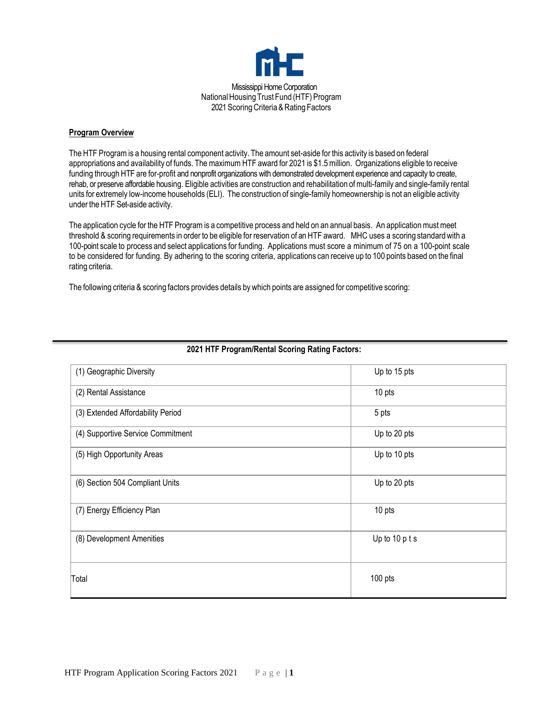

## **Program Overview**

The HTF Program is a housing rental component activity. The amount set-aside for this activity is based on federal appropriations and availability of funds. The maximum HTF award for 2021 is \$1.5 million. Organizations eligible to receive funding through HTF are for-profit and nonprofit organizations with demonstrated development experience and capacity to create, rehab, or preserve affordable housing. Eligible activities are construction and rehabilitation of multi-family and single-family rental units for extremely low-income households (ELI). The construction of single-family homeownership is not an eligible activity under the HTF Set-aside activity.

The application cycle for the HTF Program is a competitive process and held on an annual basis. An application must meet threshold & scoring requirements in order to be eligible for reservation of an HTF award. MHC uses a scoring standard with a 100-point scale to process and select applications for funding. Applications must score a minimum of 75 on a 100-point scale to be considered for funding. By adhering to the scoring criteria, applications can receive up to 100 points based on the final rating criteria.

The following criteria & scoring factors provides details by which points are assigned for competitive scoring:

| (1) Geographic Diversity          | Up to 15 pts   |
|-----------------------------------|----------------|
| (2) Rental Assistance             | 10 pts         |
| (3) Extended Affordability Period | 5 pts          |
| (4) Supportive Service Commitment | Up to 20 pts   |
| (5) High Opportunity Areas        | Up to 10 pts   |
| (6) Section 504 Compliant Units   | Up to 20 pts   |
| (7) Energy Efficiency Plan        | 10 pts         |
| (8) Development Amenities         | Up to 10 p t s |
| Total                             | 100 pts        |

# **202**1 **HTF Program/Rental Scoring Rating Factors:**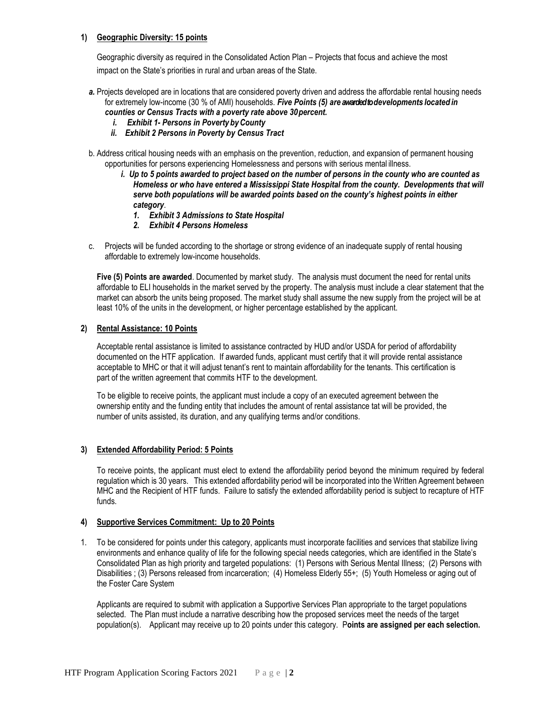## **1) Geographic Diversity: 15 points**

Geographic diversity as required in the Consolidated Action Plan – Projects that focus and achieve the most impact on the State's priorities in rural and urban areas of the State.

- *a.* Projects developed are in locations that are considered poverty driven and address the affordable rental housing needs for extremely low-income (30 % of AMI) households. *Five Points (5) are awarded todevelopments located in counties or Census Tracts with a poverty rate above 30percent.* 
	- *i. Exhibit 1- Persons in Poverty byCounty*
	- *ii. Exhibit 2 Persons in Poverty by Census Tract*
- b. Address critical housing needs with an emphasis on the prevention, reduction, and expansion of permanent housing opportunities for persons experiencing Homelessness and persons with serious mental illness.
	- *i. Up to 5 points awarded to project based on the number of persons in the county who are counted as Homeless or who have entered a Mississippi State Hospital from the county. Developments that will serve both populations will be awarded points based on the county's highest points in either category*.
		- *1. Exhibit 3 Admissions to State Hospital*
		- *2. Exhibit 4 Persons Homeless*
- c. Projects will be funded according to the shortage or strong evidence of an inadequate supply of rental housing affordable to extremely low-income households.

**Five (5) Points are awarded**. Documented by market study. The analysis must document the need for rental units affordable to ELI households in the market served by the property. The analysis must include a clear statement that the market can absorb the units being proposed. The market study shall assume the new supply from the project will be at least 10% of the units in the development, or higher percentage established by the applicant.

## **2) Rental Assistance: 10 Points**

Acceptable rental assistance is limited to assistance contracted by HUD and/or USDA for period of affordability documented on the HTF application. If awarded funds, applicant must certify that it will provide rental assistance acceptable to MHC or that it will adjust tenant's rent to maintain affordability for the tenants. This certification is part of the written agreement that commits HTF to the development.

To be eligible to receive points, the applicant must include a copy of an executed agreement between the ownership entity and the funding entity that includes the amount of rental assistance tat will be provided, the number of units assisted, its duration, and any qualifying terms and/or conditions.

## **3) Extended Affordability Period: 5 Points**

To receive points, the applicant must elect to extend the affordability period beyond the minimum required by federal regulation which is 30 years. This extended affordability period will be incorporated into the Written Agreement between MHC and the Recipient of HTF funds. Failure to satisfy the extended affordability period is subject to recapture of HTF funds.

## **4) Supportive Services Commitment: Up to 20 Points**

1. To be considered for points under this category, applicants must incorporate facilities and services that stabilize living environments and enhance quality of life for the following special needs categories, which are identified in the State's Consolidated Plan as high priority and targeted populations: (1) Persons with Serious Mental Illness; (2) Persons with Disabilities ; (3) Persons released from incarceration; (4) Homeless Elderly 55+; (5) Youth Homeless or aging out of the Foster Care System

Applicants are required to submit with application a Supportive Services Plan appropriate to the target populations selected. The Plan must include a narrative describing how the proposed services meet the needs of the target population(s). Applicant may receive up to 20 points under this category. P**oints are assigned per each selection.**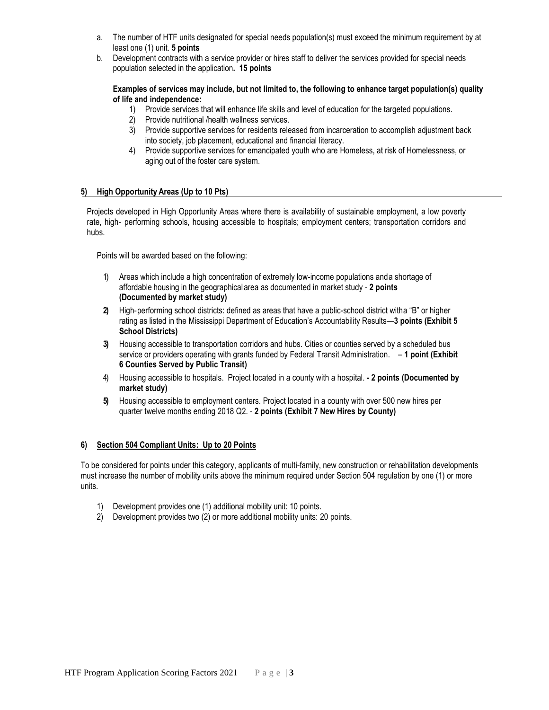- a. The number of HTF units designated for special needs population(s) must exceed the minimum requirement by at least one (1) unit. **5 points**
- b. Development contracts with a service provider or hires staff to deliver the services provided for special needs population selected in the application**. 15 points**

**Examples of services may include, but not limited to, the following to enhance target population(s) quality of life and independence:**

- 1) Provide services that will enhance life skills and level of education for the targeted populations.
- 2) Provide nutritional /health wellness services.
- 3) Provide supportive services for residents released from incarceration to accomplish adjustment back into society, job placement, educational and financial literacy.
- 4) Provide supportive services for emancipated youth who are Homeless, at risk of Homelessness, or aging out of the foster care system.

#### **5) High Opportunity Areas (Up to 10 Pts)**

Projects developed in High Opportunity Areas where there is availability of sustainable employment, a low poverty rate, high‐ performing schools, housing accessible to hospitals; employment centers; transportation corridors and hubs.

Points will be awarded based on the following:

- 1) Areas which include a high concentration of extremely low-income populations anda shortage of affordable housing in the geographicalarea as documented in market study - **2 points (Documented by market study)**
- **2)** High‐performing school districts: defined as areas that have a public-school district witha "B" or higher rating as listed in the Mississippi Department of Education's Accountability Results—**3 points (Exhibit 5 School Districts)**
- **3)** Housing accessible to transportation corridors and hubs. Cities or counties served by a scheduled bus service or providers operating with grants funded by Federal Transit Administration. – **1 point (Exhibit 6 Counties Served by Public Transit)**
- 4) Housing accessible to hospitals. Project located in a county with a hospital. **- 2 points (Documented by market study)**
- **5)** Housing accessible to employment centers. Project located in a county with over 500 new hires per quarter twelve months ending 2018 Q2. - **2 points (Exhibit 7 New Hires by County)**

## **6) Section 504 Compliant Units: Up to 20 Points**

To be considered for points under this category, applicants of multi-family, new construction or rehabilitation developments must increase the number of mobility units above the minimum required under Section 504 regulation by one (1) or more units.

- 1) Development provides one (1) additional mobility unit: 10 points.
- 2) Development provides two (2) or more additional mobility units: 20 points.